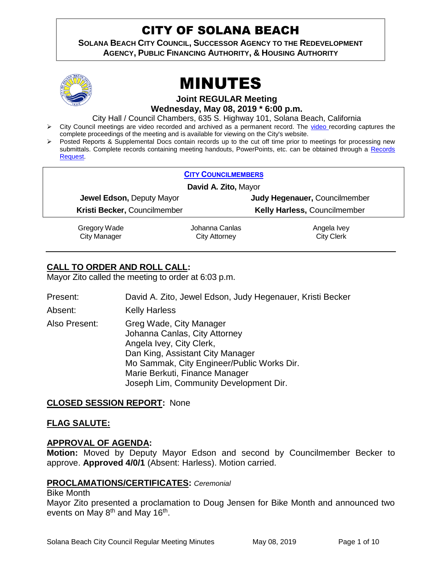# CITY OF SOLANA BEACH

**SOLANA BEACH CITY COUNCIL, SUCCESSOR AGENCY TO THE REDEVELOPMENT AGENCY, PUBLIC FINANCING AUTHORITY, & HOUSING AUTHORITY** 



# MINUTES

**Joint REGULAR Meeting**

**Wednesday, May 08, 2019 \* 6:00 p.m.**

City Hall / Council Chambers, 635 S. Highway 101, Solana Beach, California

- Tription City Council meetings are [video r](https://solanabeach.12milesout.com/#page=1)ecorded and archived as a permanent record. The video recording captures the complete proceedings of the meeting and is available for viewing on the City's website.
- Posted Reports & Supplemental Docs contain records up to the cut off time prior to meetings for processing new submittals. Complete records containing meeting handouts, PowerPoints, etc. can be obtained through a Records [Request.](http://www.ci.solana-beach.ca.us/index.asp?SEC=F5D45D10-70CE-4291-A27C-7BD633FC6742&Type=B_BASIC)

|                      |                                  | <b>CITY COUNCILMEMBERS</b> |                               |  |
|----------------------|----------------------------------|----------------------------|-------------------------------|--|
| David A. Zito, Mayor |                                  |                            |                               |  |
|                      | <b>Jewel Edson, Deputy Mayor</b> |                            | Judy Hegenauer, Councilmember |  |
|                      | Kristi Becker, Councilmember     |                            | Kelly Harless, Councilmember  |  |
|                      | Gregory Wade                     | Johanna Canlas             | Angela Ivey                   |  |
|                      | <b>City Manager</b>              | City Attorney              | <b>City Clerk</b>             |  |

# **CALL TO ORDER AND ROLL CALL:**

Mayor Zito called the meeting to order at 6:03 p.m.

- Present: David A. Zito, Jewel Edson, Judy Hegenauer, Kristi Becker
- Absent: Kelly Harless
- Also Present: Greg Wade, City Manager Johanna Canlas, City Attorney Angela Ivey, City Clerk, Dan King, Assistant City Manager Mo Sammak, City Engineer/Public Works Dir. Marie Berkuti, Finance Manager Joseph Lim, Community Development Dir.

## **CLOSED SESSION REPORT:** None

#### **FLAG SALUTE:**

#### **APPROVAL OF AGENDA:**

**Motion:** Moved by Deputy Mayor Edson and second by Councilmember Becker to approve. **Approved 4/0/1** (Absent: Harless). Motion carried.

#### **PROCLAMATIONS/CERTIFICATES:** *Ceremonial*

#### Bike Month

Mayor Zito presented a proclamation to Doug Jensen for Bike Month and announced two events on May 8<sup>th</sup> and May 16<sup>th</sup>.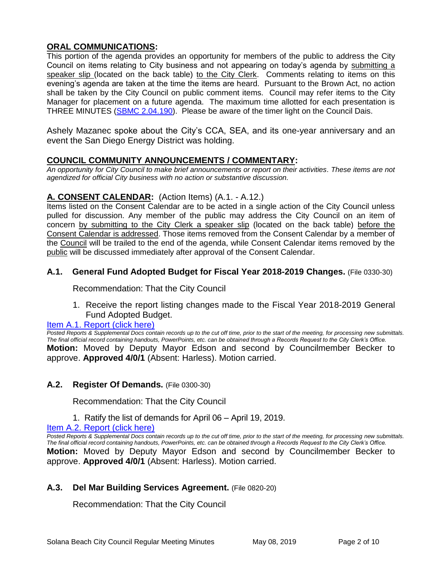# **ORAL COMMUNICATIONS:**

This portion of the agenda provides an opportunity for members of the public to address the City Council on items relating to City business and not appearing on today's agenda by submitting a speaker slip (located on the back table) to the City Clerk. Comments relating to items on this evening's agenda are taken at the time the items are heard. Pursuant to the Brown Act, no action shall be taken by the City Council on public comment items. Council may refer items to the City Manager for placement on a future agenda. The maximum time allotted for each presentation is THREE MINUTES (SBMC [2.04.190\)](https://www.codepublishing.com/CA/SolanaBeach/#!/SolanaBeach02/SolanaBeach0204.html). Please be aware of the timer light on the Council Dais.

Ashely Mazanec spoke about the City's CCA, SEA, and its one-year anniversary and an event the San Diego Energy District was holding.

# **COUNCIL COMMUNITY ANNOUNCEMENTS / COMMENTARY:**

*An opportunity for City Council to make brief announcements or report on their activities. These items are not agendized for official City business with no action or substantive discussion.* 

# **A. CONSENT CALENDAR:** (Action Items) (A.1. - A.12.)

Items listed on the Consent Calendar are to be acted in a single action of the City Council unless pulled for discussion. Any member of the public may address the City Council on an item of concern by submitting to the City Clerk a speaker slip (located on the back table) before the Consent Calendar is addressed. Those items removed from the Consent Calendar by a member of the Council will be trailed to the end of the agenda, while Consent Calendar items removed by the public will be discussed immediately after approval of the Consent Calendar.

## **A.1. General Fund Adopted Budget for Fiscal Year 2018-2019 Changes.** (File 0330-30)

Recommendation: That the City Council

1. Receive the report listing changes made to the Fiscal Year 2018-2019 General Fund Adopted Budget.

#### [Item A.1. Report \(click here\)](https://solanabeach.govoffice3.com/vertical/Sites/%7B840804C2-F869-4904-9AE3-720581350CE7%7D/uploads/Item_A.1._Report_(click_here)_05-08-19_-_O.pdf)

*Posted Reports & Supplemental Docs contain records up to the cut off time, prior to the start of the meeting, for processing new submittals. The final official record containing handouts, PowerPoints, etc. can be obtained through a Records Request to the City Clerk's Office.* **Motion:** Moved by Deputy Mayor Edson and second by Councilmember Becker to approve. **Approved 4/0/1** (Absent: Harless). Motion carried.

## **A.2. Register Of Demands.** (File 0300-30)

Recommendation: That the City Council

1. Ratify the list of demands for April 06 – April 19, 2019.

Item A.2. [Report \(click here\)](https://solanabeach.govoffice3.com/vertical/Sites/%7B840804C2-F869-4904-9AE3-720581350CE7%7D/uploads/Item_A.2._Report_(click_here)_05-08-19_-_O.pdf) 

*Posted Reports & Supplemental Docs contain records up to the cut off time, prior to the start of the meeting, for processing new submittals. The final official record containing handouts, PowerPoints, etc. can be obtained through a Records Request to the City Clerk's Office.* **Motion:** Moved by Deputy Mayor Edson and second by Councilmember Becker to approve. **Approved 4/0/1** (Absent: Harless). Motion carried.

## **A.3. Del Mar Building Services Agreement.** (File 0820-20)

Recommendation: That the City Council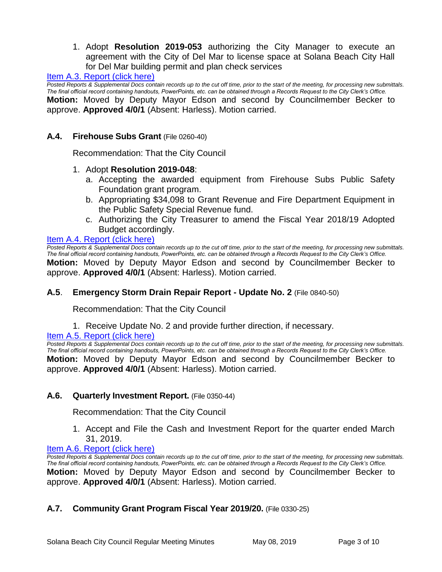1. Adopt **Resolution 2019-053** authorizing the City Manager to execute an agreement with the City of Del Mar to license space at Solana Beach City Hall for Del Mar building permit and plan check services

Item A.3. Report (click here)

*Posted Reports & Supplemental Docs contain records up to the cut off time, prior to the start of the meeting, for processing new submittals. The final official record containing handouts, PowerPoints, etc. can be obtained through a Records Request to the City Clerk's Office.* **Motion:** Moved by Deputy Mayor Edson and second by Councilmember Becker to approve. **Approved 4/0/1** (Absent: Harless). Motion carried.

#### **A.4. Firehouse Subs Grant** (File 0260-40)

Recommendation: That the City Council

#### 1. Adopt **Resolution 2019-048**:

- a. Accepting the awarded equipment from Firehouse Subs Public Safety Foundation grant program.
- b. Appropriating \$34,098 to Grant Revenue and Fire Department Equipment in the Public Safety Special Revenue fund.
- c. Authorizing the City Treasurer to amend the Fiscal Year 2018/19 Adopted Budget accordingly.

# [Item A.4. Report \(click here\)](https://solanabeach.govoffice3.com/vertical/Sites/%7B840804C2-F869-4904-9AE3-720581350CE7%7D/uploads/Item_A.4._Report_(click_here)_05-08-19_-_O.pdf)

*Posted Reports & Supplemental Docs contain records up to the cut off time, prior to the start of the meeting, for processing new submittals. The final official record containing handouts, PowerPoints, etc. can be obtained through a Records Request to the City Clerk's Office.* **Motion:** Moved by Deputy Mayor Edson and second by Councilmember Becker to approve. **Approved 4/0/1** (Absent: Harless). Motion carried.

## **A.5**. **Emergency Storm Drain Repair Report - Update No. 2** (File 0840-50)

Recommendation: That the City Council

1. Receive Update No. 2 and provide further direction, if necessary.

Item A.5. Report (click here)

*Posted Reports & Supplemental Docs contain records up to the cut off time, prior to the start of the meeting, for processing new submittals. The final official record containing handouts, PowerPoints, etc. can be obtained through a Records Request to the City Clerk's Office.* **Motion:** Moved by Deputy Mayor Edson and second by Councilmember Becker to approve. **Approved 4/0/1** (Absent: Harless). Motion carried.

#### **A.6. Quarterly Investment Report.** (File 0350-44)

Recommendation: That the City Council

1. Accept and File the Cash and Investment Report for the quarter ended March 31, 2019.

#### [Item A.6. Report \(click here\)](https://solanabeach.govoffice3.com/vertical/Sites/%7B840804C2-F869-4904-9AE3-720581350CE7%7D/uploads/Item_A.6._Report_(click_here)_05-08-19_-_O.pdf)

Posted Reports & Supplemental Docs contain records up to the cut off time, prior to the start of the meeting, for processing new submittals. *The final official record containing handouts, PowerPoints, etc. can be obtained through a Records Request to the City Clerk's Office.* **Motion:** Moved by Deputy Mayor Edson and second by Councilmember Becker to approve. **Approved 4/0/1** (Absent: Harless). Motion carried.

## **A.7. Community Grant Program Fiscal Year 2019/20.** (File 0330-25)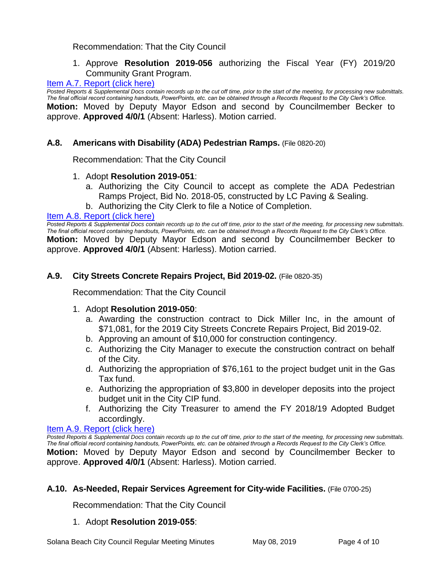# Recommendation: That the City Council

1. Approve **Resolution 2019-056** authorizing the Fiscal Year (FY) 2019/20 Community Grant Program.

# [Item A.7. Report \(click here\)](https://solanabeach.govoffice3.com/vertical/Sites/%7B840804C2-F869-4904-9AE3-720581350CE7%7D/uploads/Item_A.7._Report_(click_here)_05-08-19_-_O.pdf)

*Posted Reports & Supplemental Docs contain records up to the cut off time, prior to the start of the meeting, for processing new submittals. The final official record containing handouts, PowerPoints, etc. can be obtained through a Records Request to the City Clerk's Office.* **Motion:** Moved by Deputy Mayor Edson and second by Councilmember Becker to approve. **Approved 4/0/1** (Absent: Harless). Motion carried.

# **A.8. Americans with Disability (ADA) Pedestrian Ramps.** (File 0820-20)

Recommendation: That the City Council

# 1. Adopt **Resolution 2019-051**:

- a. Authorizing the City Council to accept as complete the ADA Pedestrian Ramps Project, Bid No. 2018-05, constructed by LC Paving & Sealing.
- b. Authorizing the City Clerk to file a Notice of Completion.

## [Item A.8. Report \(click here\)](https://solanabeach.govoffice3.com/vertical/Sites/%7B840804C2-F869-4904-9AE3-720581350CE7%7D/uploads/Item_A.8._Report_(click_here)_05-08-19_-_O.pdf)

*Posted Reports & Supplemental Docs contain records up to the cut off time, prior to the start of the meeting, for processing new submittals. The final official record containing handouts, PowerPoints, etc. can be obtained through a Records Request to the City Clerk's Office.* **Motion:** Moved by Deputy Mayor Edson and second by Councilmember Becker to approve. **Approved 4/0/1** (Absent: Harless). Motion carried.

# **A.9. City Streets Concrete Repairs Project, Bid 2019-02.** (File 0820-35)

Recommendation: That the City Council

## 1. Adopt **Resolution 2019-050**:

- a. Awarding the construction contract to Dick Miller Inc, in the amount of \$71,081, for the 2019 City Streets Concrete Repairs Project, Bid 2019-02.
- b. Approving an amount of \$10,000 for construction contingency.
- c. Authorizing the City Manager to execute the construction contract on behalf of the City.
- d. Authorizing the appropriation of \$76,161 to the project budget unit in the Gas Tax fund.
- e. Authorizing the appropriation of \$3,800 in developer deposits into the project budget unit in the City CIP fund.
- f. Authorizing the City Treasurer to amend the FY 2018/19 Adopted Budget accordingly.

#### [Item A.9. Report \(click here\)](https://solanabeach.govoffice3.com/vertical/Sites/%7B840804C2-F869-4904-9AE3-720581350CE7%7D/uploads/Item_A.9._Report_(click_here)_05-08-19_-_O.pdf)

*Posted Reports & Supplemental Docs contain records up to the cut off time, prior to the start of the meeting, for processing new submittals. The final official record containing handouts, PowerPoints, etc. can be obtained through a Records Request to the City Clerk's Office.* **Motion:** Moved by Deputy Mayor Edson and second by Councilmember Becker to approve. **Approved 4/0/1** (Absent: Harless). Motion carried.

## **A.10. As-Needed, Repair Services Agreement for City-wide Facilities.** (File 0700-25)

Recommendation: That the City Council

## 1. Adopt **Resolution 2019-055**: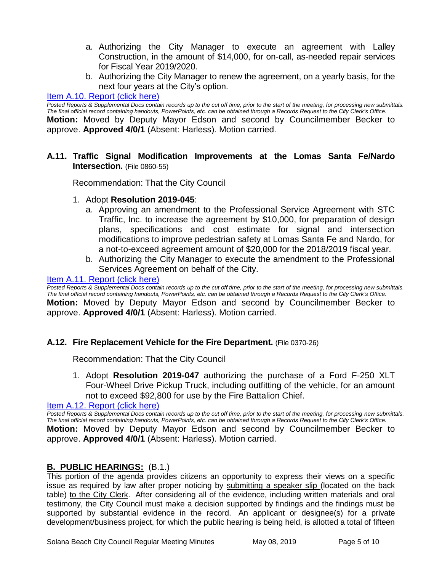- a. Authorizing the City Manager to execute an agreement with Lalley Construction, in the amount of \$14,000, for on-call, as-needed repair services for Fiscal Year 2019/2020.
- b. Authorizing the City Manager to renew the agreement, on a yearly basis, for the next four years at the City's option.

# [Item A.10. Report \(click here\)](https://solanabeach.govoffice3.com/vertical/Sites/%7B840804C2-F869-4904-9AE3-720581350CE7%7D/uploads/Item_A.10._Report_(click_here)_05-08-19_-_O.pdf)

*Posted Reports & Supplemental Docs contain records up to the cut off time, prior to the start of the meeting, for processing new submittals. The final official record containing handouts, PowerPoints, etc. can be obtained through a Records Request to the City Clerk's Office.*

**Motion:** Moved by Deputy Mayor Edson and second by Councilmember Becker to approve. **Approved 4/0/1** (Absent: Harless). Motion carried.

**A.11. Traffic Signal Modification Improvements at the Lomas Santa Fe/Nardo Intersection.** (File 0860-55)

Recommendation: That the City Council

- 1. Adopt **Resolution 2019-045**:
	- a. Approving an amendment to the Professional Service Agreement with STC Traffic, Inc. to increase the agreement by \$10,000, for preparation of design plans, specifications and cost estimate for signal and intersection modifications to improve pedestrian safety at Lomas Santa Fe and Nardo, for a not-to-exceed agreement amount of \$20,000 for the 2018/2019 fiscal year.
	- b. Authorizing the City Manager to execute the amendment to the Professional Services Agreement on behalf of the City.

## Item A.11. Report (click here)

*Posted Reports & Supplemental Docs contain records up to the cut off time, prior to the start of the meeting, for processing new submittals. The final official record containing handouts, PowerPoints, etc. can be obtained through a Records Request to the City Clerk's Office.* **Motion:** Moved by Deputy Mayor Edson and second by Councilmember Becker to approve. **Approved 4/0/1** (Absent: Harless). Motion carried.

## **A.12. Fire Replacement Vehicle for the Fire Department.** (File 0370-26)

Recommendation: That the City Council

1. Adopt **Resolution 2019-047** authorizing the purchase of a Ford F-250 XLT Four-Wheel Drive Pickup Truck, including outfitting of the vehicle, for an amount not to exceed \$92,800 for use by the Fire Battalion Chief.

[Item A.12. Report \(click here\)](https://solanabeach.govoffice3.com/vertical/Sites/%7B840804C2-F869-4904-9AE3-720581350CE7%7D/uploads/Item_A.12._Report_(click_here)_05-08-19_-_O.pdf) 

*Posted Reports & Supplemental Docs contain records up to the cut off time, prior to the start of the meeting, for processing new submittals. The final official record containing handouts, PowerPoints, etc. can be obtained through a Records Request to the City Clerk's Office.* **Motion:** Moved by Deputy Mayor Edson and second by Councilmember Becker to approve. **Approved 4/0/1** (Absent: Harless). Motion carried.

## **B. PUBLIC HEARINGS:** (B.1.)

This portion of the agenda provides citizens an opportunity to express their views on a specific issue as required by law after proper noticing by submitting a speaker slip (located on the back table) to the City Clerk. After considering all of the evidence, including written materials and oral testimony, the City Council must make a decision supported by findings and the findings must be supported by substantial evidence in the record. An applicant or designee(s) for a private development/business project, for which the public hearing is being held, is allotted a total of fifteen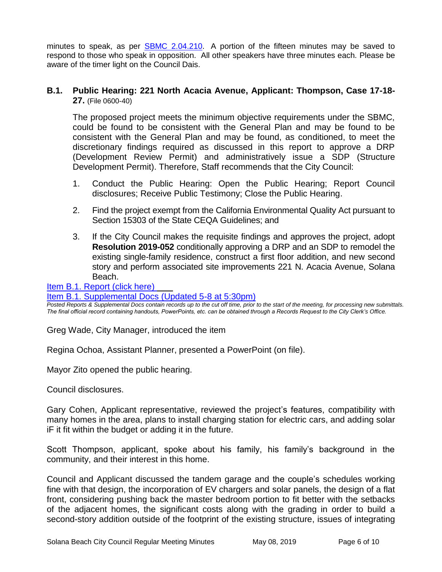minutes to speak, as per [SBMC 2.04.210.](https://www.codepublishing.com/CA/SolanaBeach/#!/SolanaBeach02/SolanaBeach0204.html) A portion of the fifteen minutes may be saved to respond to those who speak in opposition. All other speakers have three minutes each. Please be aware of the timer light on the Council Dais.

#### **B.1. Public Hearing: 221 North Acacia Avenue, Applicant: Thompson, Case 17-18- 27.** (File 0600-40)

The proposed project meets the minimum objective requirements under the SBMC, could be found to be consistent with the General Plan and may be found to be consistent with the General Plan and may be found, as conditioned, to meet the discretionary findings required as discussed in this report to approve a DRP (Development Review Permit) and administratively issue a SDP (Structure Development Permit). Therefore, Staff recommends that the City Council:

- 1. Conduct the Public Hearing: Open the Public Hearing; Report Council disclosures; Receive Public Testimony; Close the Public Hearing.
- 2. Find the project exempt from the California Environmental Quality Act pursuant to Section 15303 of the State CEQA Guidelines; and
- 3. If the City Council makes the requisite findings and approves the project, adopt **Resolution 2019-052** conditionally approving a DRP and an SDP to remodel the existing single-family residence, construct a first floor addition, and new second story and perform associated site improvements 221 N. Acacia Avenue, Solana Beach.

[Item B.1. Report \(click here\)](https://solanabeach.govoffice3.com/vertical/Sites/%7B840804C2-F869-4904-9AE3-720581350CE7%7D/uploads/Item_B.1._Report_(click_here)_05-08-19_-_O.pdf) 

#### [Item B.1. Supplemental Docs \(Updated 5-8 at 5:30pm\)](https://solanabeach.govoffice3.com/vertical/Sites/%7B840804C2-F869-4904-9AE3-720581350CE7%7D/uploads/Item_B.1._Supplemental_Docs_(Updated_5-8)_-_O.pdf)

*Posted Reports & Supplemental Docs contain records up to the cut off time, prior to the start of the meeting, for processing new submittals. The final official record containing handouts, PowerPoints, etc. can be obtained through a Records Request to the City Clerk's Office.*

Greg Wade, City Manager, introduced the item

Regina Ochoa, Assistant Planner, presented a PowerPoint (on file).

Mayor Zito opened the public hearing.

Council disclosures.

Gary Cohen, Applicant representative, reviewed the project's features, compatibility with many homes in the area, plans to install charging station for electric cars, and adding solar iF it fit within the budget or adding it in the future.

Scott Thompson, applicant, spoke about his family, his family's background in the community, and their interest in this home.

Council and Applicant discussed the tandem garage and the couple's schedules working fine with that design, the incorporation of EV chargers and solar panels, the design of a flat front, considering pushing back the master bedroom portion to fit better with the setbacks of the adjacent homes, the significant costs along with the grading in order to build a second-story addition outside of the footprint of the existing structure, issues of integrating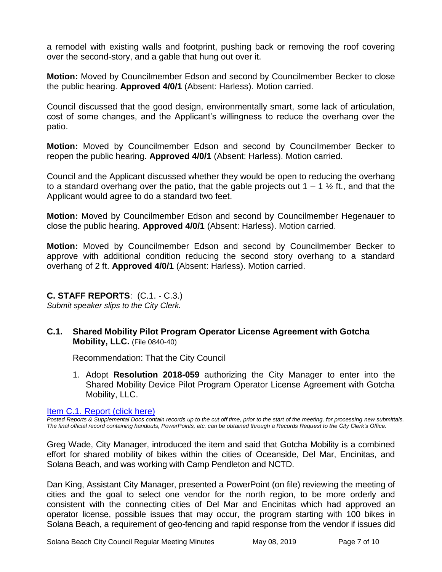a remodel with existing walls and footprint, pushing back or removing the roof covering over the second-story, and a gable that hung out over it.

**Motion:** Moved by Councilmember Edson and second by Councilmember Becker to close the public hearing. **Approved 4/0/1** (Absent: Harless). Motion carried.

Council discussed that the good design, environmentally smart, some lack of articulation, cost of some changes, and the Applicant's willingness to reduce the overhang over the patio.

**Motion:** Moved by Councilmember Edson and second by Councilmember Becker to reopen the public hearing. **Approved 4/0/1** (Absent: Harless). Motion carried.

Council and the Applicant discussed whether they would be open to reducing the overhang to a standard overhang over the patio, that the gable projects out  $1 - 1 \frac{1}{2}$  ft., and that the Applicant would agree to do a standard two feet.

**Motion:** Moved by Councilmember Edson and second by Councilmember Hegenauer to close the public hearing. **Approved 4/0/1** (Absent: Harless). Motion carried.

**Motion:** Moved by Councilmember Edson and second by Councilmember Becker to approve with additional condition reducing the second story overhang to a standard overhang of 2 ft. **Approved 4/0/1** (Absent: Harless). Motion carried.

# **C. STAFF REPORTS**: (C.1. - C.3.)

*Submit speaker slips to the City Clerk.*

## **C.1. Shared Mobility Pilot Program Operator License Agreement with Gotcha Mobility, LLC.** (File 0840-40)

Recommendation: That the City Council

1. Adopt **Resolution 2018-059** authorizing the City Manager to enter into the Shared Mobility Device Pilot Program Operator License Agreement with Gotcha Mobility, LLC.

[Item C.1. Report \(click here\)](https://solanabeach.govoffice3.com/vertical/Sites/%7B840804C2-F869-4904-9AE3-720581350CE7%7D/uploads/Item_C.1._Report_(click_here)_05-08-19_-_O.pdf) 

*Posted Reports & Supplemental Docs contain records up to the cut off time, prior to the start of the meeting, for processing new submittals. The final official record containing handouts, PowerPoints, etc. can be obtained through a Records Request to the City Clerk's Office.*

Greg Wade, City Manager, introduced the item and said that Gotcha Mobility is a combined effort for shared mobility of bikes within the cities of Oceanside, Del Mar, Encinitas, and Solana Beach, and was working with Camp Pendleton and NCTD.

Dan King, Assistant City Manager, presented a PowerPoint (on file) reviewing the meeting of cities and the goal to select one vendor for the north region, to be more orderly and consistent with the connecting cities of Del Mar and Encinitas which had approved an operator license, possible issues that may occur, the program starting with 100 bikes in Solana Beach, a requirement of geo-fencing and rapid response from the vendor if issues did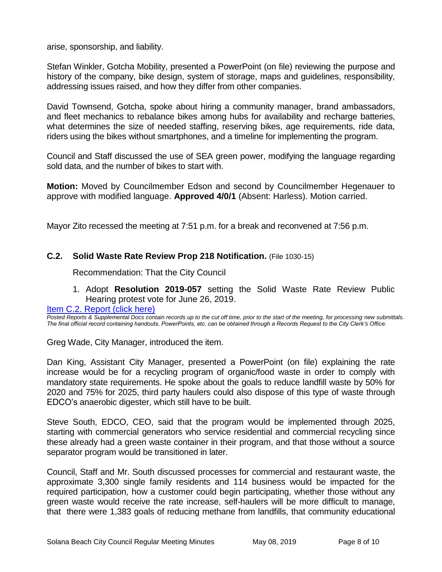arise, sponsorship, and liability.

Stefan Winkler, Gotcha Mobility, presented a PowerPoint (on file) reviewing the purpose and history of the company, bike design, system of storage, maps and guidelines, responsibility, addressing issues raised, and how they differ from other companies.

David Townsend, Gotcha, spoke about hiring a community manager, brand ambassadors, and fleet mechanics to rebalance bikes among hubs for availability and recharge batteries, what determines the size of needed staffing, reserving bikes, age requirements, ride data, riders using the bikes without smartphones, and a timeline for implementing the program.

Council and Staff discussed the use of SEA green power, modifying the language regarding sold data, and the number of bikes to start with.

**Motion:** Moved by Councilmember Edson and second by Councilmember Hegenauer to approve with modified language. **Approved 4/0/1** (Absent: Harless). Motion carried.

Mayor Zito recessed the meeting at 7:51 p.m. for a break and reconvened at 7:56 p.m.

## **C.2. Solid Waste Rate Review Prop 218 Notification.** (File 1030-15)

Recommendation: That the City Council

1. Adopt **Resolution 2019-057** setting the Solid Waste Rate Review Public Hearing protest vote for June 26, 2019.

[Item C.2. Report \(click here\)](https://solanabeach.govoffice3.com/vertical/Sites/%7B840804C2-F869-4904-9AE3-720581350CE7%7D/uploads/Item_C.2._Report_(click_here)_05-08-19_-_O.pdf) 

*Posted Reports & Supplemental Docs contain records up to the cut off time, prior to the start of the meeting, for processing new submittals. The final official record containing handouts, PowerPoints, etc. can be obtained through a Records Request to the City Clerk's Office.*

Greg Wade, City Manager, introduced the item.

Dan King, Assistant City Manager, presented a PowerPoint (on file) explaining the rate increase would be for a recycling program of organic/food waste in order to comply with mandatory state requirements. He spoke about the goals to reduce landfill waste by 50% for 2020 and 75% for 2025, third party haulers could also dispose of this type of waste through EDCO's anaerobic digester, which still have to be built.

Steve South, EDCO, CEO, said that the program would be implemented through 2025, starting with commercial generators who service residential and commercial recycling since these already had a green waste container in their program, and that those without a source separator program would be transitioned in later.

Council, Staff and Mr. South discussed processes for commercial and restaurant waste, the approximate 3,300 single family residents and 114 business would be impacted for the required participation, how a customer could begin participating, whether those without any green waste would receive the rate increase, self-haulers will be more difficult to manage, that there were 1,383 goals of reducing methane from landfills, that community educational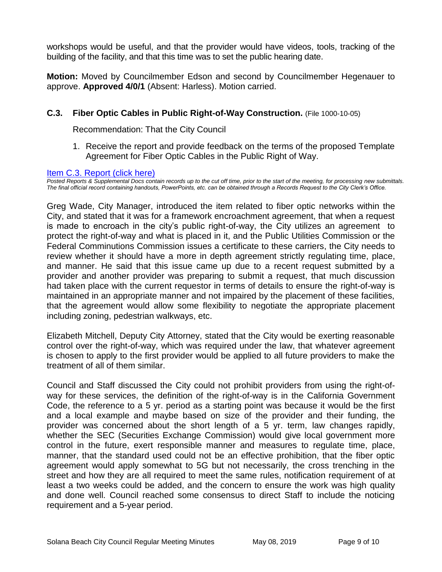workshops would be useful, and that the provider would have videos, tools, tracking of the building of the facility, and that this time was to set the public hearing date.

**Motion:** Moved by Councilmember Edson and second by Councilmember Hegenauer to approve. **Approved 4/0/1** (Absent: Harless). Motion carried.

# **C.3. Fiber Optic Cables in Public Right-of-Way Construction.** (File 1000-10-05)

Recommendation: That the City Council

1. Receive the report and provide feedback on the terms of the proposed Template Agreement for Fiber Optic Cables in the Public Right of Way.

#### [Item C.3. Report \(click here\)](https://solanabeach.govoffice3.com/vertical/Sites/%7B840804C2-F869-4904-9AE3-720581350CE7%7D/uploads/Item_C.3._Report_(click_here)_05-08-19_-_O.pdf)

*Posted Reports & Supplemental Docs contain records up to the cut off time, prior to the start of the meeting, for processing new submittals. The final official record containing handouts, PowerPoints, etc. can be obtained through a Records Request to the City Clerk's Office.*

Greg Wade, City Manager, introduced the item related to fiber optic networks within the City, and stated that it was for a framework encroachment agreement, that when a request is made to encroach in the city's public right-of-way, the City utilizes an agreement to protect the right-of-way and what is placed in it, and the Public Utilities Commission or the Federal Comminutions Commission issues a certificate to these carriers, the City needs to review whether it should have a more in depth agreement strictly regulating time, place, and manner. He said that this issue came up due to a recent request submitted by a provider and another provider was preparing to submit a request, that much discussion had taken place with the current requestor in terms of details to ensure the right-of-way is maintained in an appropriate manner and not impaired by the placement of these facilities, that the agreement would allow some flexibility to negotiate the appropriate placement including zoning, pedestrian walkways, etc.

Elizabeth Mitchell, Deputy City Attorney, stated that the City would be exerting reasonable control over the right-of-way, which was required under the law, that whatever agreement is chosen to apply to the first provider would be applied to all future providers to make the treatment of all of them similar.

Council and Staff discussed the City could not prohibit providers from using the right-ofway for these services, the definition of the right-of-way is in the California Government Code, the reference to a 5 yr. period as a starting point was because it would be the first and a local example and maybe based on size of the provider and their funding, the provider was concerned about the short length of a 5 yr. term, law changes rapidly, whether the SEC (Securities Exchange Commission) would give local government more control in the future, exert responsible manner and measures to regulate time, place, manner, that the standard used could not be an effective prohibition, that the fiber optic agreement would apply somewhat to 5G but not necessarily, the cross trenching in the street and how they are all required to meet the same rules, notification requirement of at least a two weeks could be added, and the concern to ensure the work was high quality and done well. Council reached some consensus to direct Staff to include the noticing requirement and a 5-year period.